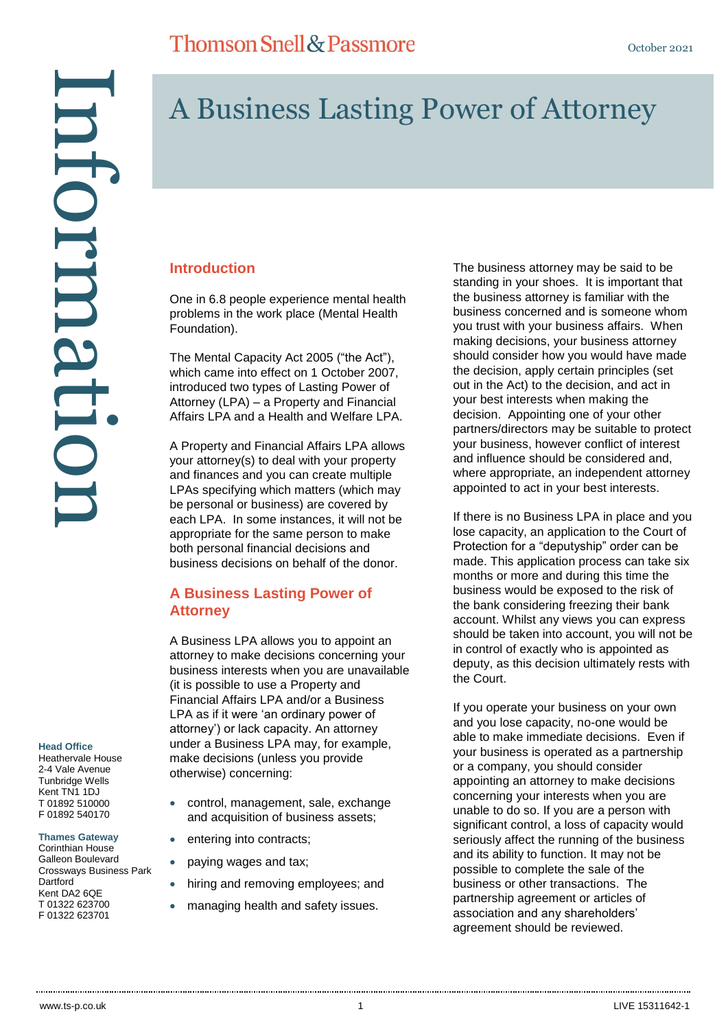# A Business Lasting Power of Attorney

#### **Introduction**

One in 6.8 people experience mental health problems in the work place (Mental Health Foundation).

The Mental Capacity Act 2005 ("the Act"), which came into effect on 1 October 2007, introduced two types of Lasting Power of Attorney (LPA) – a Property and Financial Affairs LPA and a Health and Welfare LPA.

A Property and Financial Affairs LPA allows your attorney(s) to deal with your property and finances and you can create multiple LPAs specifying which matters (which may be personal or business) are covered by each LPA. In some instances, it will not be appropriate for the same person to make both personal financial decisions and business decisions on behalf of the donor.

### **A Business Lasting Power of Attorney**

A Business LPA allows you to appoint an attorney to make decisions concerning your business interests when you are unavailable (it is possible to use a Property and Financial Affairs LPA and/or a Business LPA as if it were 'an ordinary power of attorney') or lack capacity. An attorney under a Business LPA may, for example, make decisions (unless you provide otherwise) concerning:

- control, management, sale, exchange and acquisition of business assets;
	- entering into contracts;
- paying wages and tax;
- hiring and removing employees; and
- managing health and safety issues.

The business attorney may be said to be standing in your shoes. It is important that the business attorney is familiar with the business concerned and is someone whom you trust with your business affairs. When making decisions, your business attorney should consider how you would have made the decision, apply certain principles (set out in the Act) to the decision, and act in your best interests when making the decision. Appointing one of your other partners/directors may be suitable to protect your business, however conflict of interest and influence should be considered and, where appropriate, an independent attorney appointed to act in your best interests.

If there is no Business LPA in place and you lose capacity, an application to the Court of Protection for a "deputyship" order can be made. This application process can take six months or more and during this time the business would be exposed to the risk of the bank considering freezing their bank account. Whilst any views you can express should be taken into account, you will not be in control of exactly who is appointed as deputy, as this decision ultimately rests with the Court.

If you operate your business on your own and you lose capacity, no-one would be able to make immediate decisions. Even if your business is operated as a partnership or a company, you should consider appointing an attorney to make decisions concerning your interests when you are unable to do so. If you are a person with significant control, a loss of capacity would seriously affect the running of the business and its ability to function. It may not be possible to complete the sale of the business or other transactions. The partnership agreement or articles of association and any shareholders' agreement should be reviewed.

**Head Office**

Heathervale House 2-4 Vale Avenue Tunbridge Wells Kent TN1 1DJ T 01892 510000 F 01892 540170

**Thames Gateway** Corinthian House Galleon Boulevard Crossways Business Park Dartford Kent DA<sub>2</sub> 6OF T 01322 623700 F 01322 623701